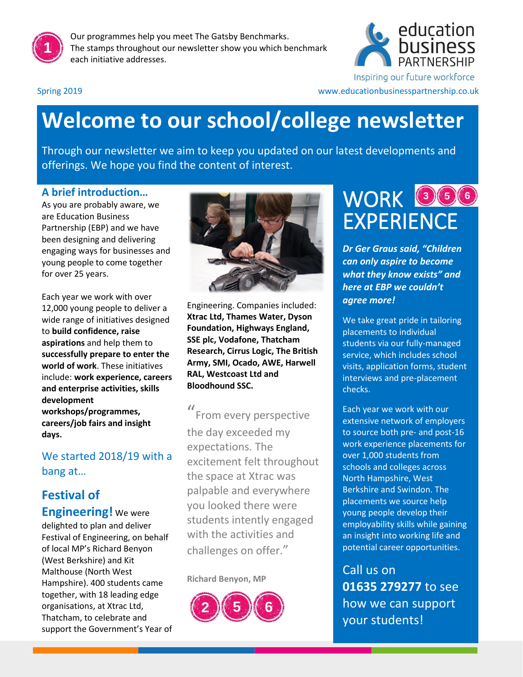

Our programmes help you meet The Gatsby Benchmarks. The stamps throughout our newsletter show you which benchmark each initiative addresses.



Inspiring our future workforce

Spring 2019 www.educationbusinesspartnership.co.uk

## **Welcome to our school/college newsletter**

Through our newsletter we aim to keep you updated on our latest developments and offerings. We hope you find the content of interest.

#### **A brief introduction…**

As you are probably aware, we are Education Business Partnership (EBP) and we have been designing and delivering engaging ways for businesses and young people to come together for over 25 years.

Each year we work with over 12,000 young people to deliver a wide range of initiatives designed to **build confidence, raise aspirations** and help them to **successfully prepare to enter the world of work**. These initiatives include: **work experience, careers and enterprise activities, skills development workshops/programmes, careers/job fairs and insight days.**

#### We started 2018/19 with a bang at…

## **Festival of**

**Engineering!** We were delighted to plan and deliver Festival of Engineering, on behalf of local MP's Richard Benyon (West Berkshire) and Kit Malthouse (North West Hampshire). 400 students came together, with 18 leading edge organisations, at Xtrac Ltd, Thatcham, to celebrate and support the Government's Year of



Engineering. Companies included: **Xtrac Ltd, Thames Water, Dyson Foundation, Highways England, SSE plc, Vodafone, Thatcham Research, Cirrus Logic, The British Army, SMI, Ocado, AWE, Harwell RAL, Westcoast Ltd and Bloodhound SSC.** 

" From every perspective the day exceeded my expectations. The excitement felt throughout the space at Xtrac was palpable and everywhere you looked there were students intently engaged with the activities and challenges on offer."

**Richard Benyon, MP**



## WORK OOO EXPERIENCE

*Dr Ger Graus said, "Children can only aspire to become what they know exists" and here at EBP we couldn't agree more!*

We take great pride in tailoring placements to individual students via our fully-managed service, which includes school visits, application forms, student interviews and pre-placement checks.

Each year we work with our extensive network of employers to source both pre- and post-16 work experience placements for over 1,000 students from schools and colleges across North Hampshire, West Berkshire and Swindon. The placements we source help young people develop their employability skills while gaining an insight into working life and potential career opportunities.

Call us on **01635 279277** to see how we can support your students!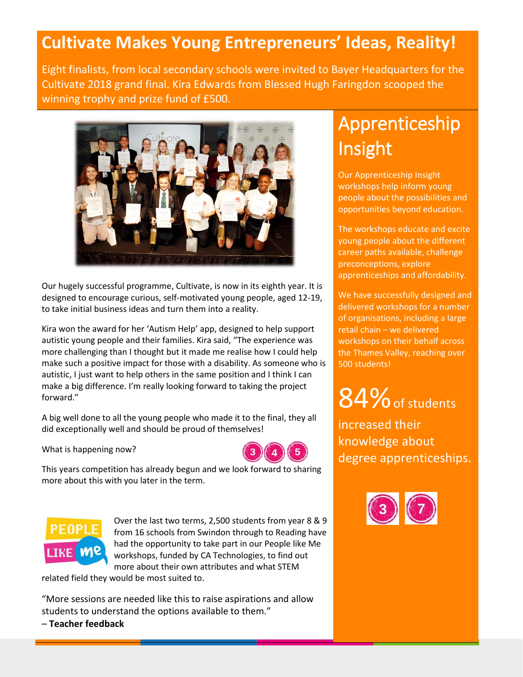### **Cultivate Makes Young Entrepreneurs' Ideas, Reality!**

Eight finalists, from local secondary schools were invited to Bayer Headquarters for the Cultivate 2018 grand final. Kira Edwards from Blessed Hugh Faringdon scooped the winning trophy and prize fund of £500.



Our hugely successful programme, Cultivate, is now in its eighth year. It is designed to encourage curious, self-motivated young people, aged 12-19, to take initial business ideas and turn them into a reality.

Kira won the award for her 'Autism Help' app, designed to help support autistic young people and their families. Kira said, "The experience was more challenging than I thought but it made me realise how I could help make such a positive impact for those with a disability. As someone who is autistic, I just want to help others in the same position and I think I can make a big difference. I'm really looking forward to taking the project forward."

A big well done to all the young people who made it to the final, they all did exceptionally well and should be proud of themselves!

What is happening now?



This years competition has already begun and we look forward to sharing more about this with you later in the term.



Over the last two terms, 2,500 students from year 8 & 9 from 16 schools from Swindon through to Reading have had the opportunity to take part in our People like Me workshops, funded by CA Technologies, to find out more about their own attributes and what STEM

related field they would be most suited to.

"More sessions are needed like this to raise aspirations and allow students to understand the options available to them." – **Teacher feedback**

## Apprenticeship Insight

Our Apprenticeship Insight workshops help inform young people about the possibilities and opportunities beyond education.

The workshops educate and excite young people about the different career paths available, challenge preconceptions, explore apprenticeships and affordability.

We have successfully designed and delivered workshops for a number of organisations, including a large retail chain – we delivered workshops on their behalf across the Thames Valley, reaching over 500 students!

# 84% of students

increased their knowledge about degree apprenticeships.

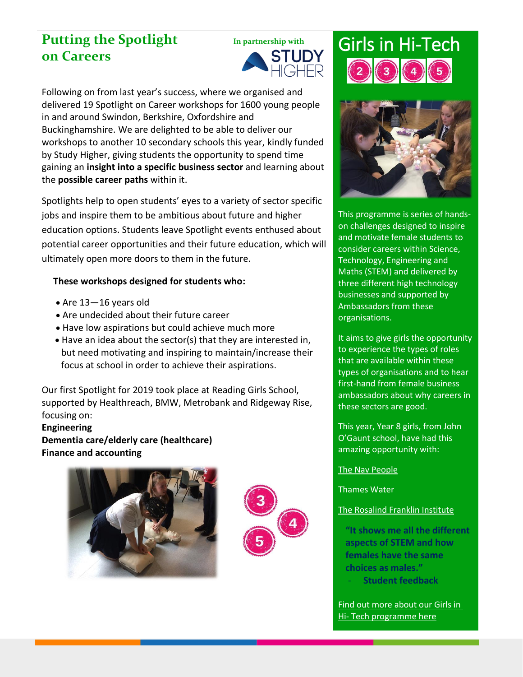## **Putting the Spotlight In partnership with**<br> **ON Careers**<br> **PUDY**<br> **PUGHER on Careers**



Following on from last year's success, where we organised and delivered 19 Spotlight on Career workshops for 1600 young people in and around Swindon, Berkshire, Oxfordshire and Buckinghamshire. We are delighted to be able to deliver our workshops to another 10 secondary schools this year, kindly funded by Study Higher, giving students the opportunity to spend time gaining an **insight into a specific business sector** and learning about the **possible career paths** within it.

Spotlights help to open students' eyes to a variety of sector specific jobs and inspire them to be ambitious about future and higher education options. Students leave Spotlight events enthused about potential career opportunities and their future education, which will ultimately open more doors to them in the future.

#### **These workshops designed for students who:**

- Are 13—16 years old
- Are undecided about their future career
- Have low aspirations but could achieve much more
- Have an idea about the sector(s) that they are interested in, but need motivating and inspiring to maintain/increase their focus at school in order to achieve their aspirations.

Our first Spotlight for 2019 took place at Reading Girls School, supported by Healthreach, BMW, Metrobank and Ridgeway Rise, focusing on:

#### **Engineering Dementia care/elderly care (healthcare) Finance and accounting**





# Girls in Hi-Tech



This programme is series of handson challenges designed to inspire and motivate female students to consider careers within Science, Technology, Engineering and Maths (STEM) and delivered by three different high technology businesses and supported by Ambassadors from these organisations.

It aims to give girls the opportunity to experience the types of roles that are available within these types of organisations and to hear first-hand from female business ambassadors about why careers in these sectors are good.

This year, Year 8 girls, from John O'Gaunt school, have had this amazing opportunity with:

[The Nav People](https://thenavpeople.com/)

#### [Thames Water](https://www.thameswater.co.uk/)

#### [The Rosalind Franklin Institute](https://www.rfi.ac.uk/)

**"It shows me all the different aspects of STEM and how females have the same choices as males."** - **Student feedback**

[Find out more about our Girls in](http://educationbusinesspartnership.co.uk/schools-and-colleges/career-inspiration-activities/girls-in-hi-tech/)  Hi- [Tech programme here](http://educationbusinesspartnership.co.uk/schools-and-colleges/career-inspiration-activities/girls-in-hi-tech/)